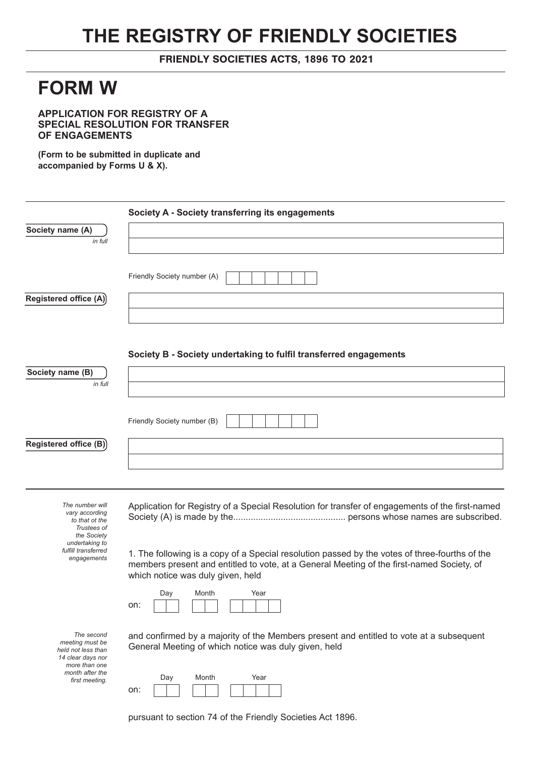## **THE REGISTRY OF FRIENDLY SOCIETIES**

## FRIENDLY SOCIETIES ACTS, 1896 TO 2021

## **FORM W**

**APPLICATION FOR REGISTRY OF A SPECIAL RESOLUTION FOR TRANSFER OF ENGAGEMENTS**

**(Form to be submitted in duplicate and accompanied by Forms U & X).**

|                                                      | Society A - Society transferring its engagements                                                                               |
|------------------------------------------------------|--------------------------------------------------------------------------------------------------------------------------------|
| Society name (A)                                     |                                                                                                                                |
| in full                                              |                                                                                                                                |
|                                                      |                                                                                                                                |
|                                                      | Friendly Society number (A)                                                                                                    |
| Registered office (A)                                |                                                                                                                                |
|                                                      |                                                                                                                                |
|                                                      |                                                                                                                                |
|                                                      | Society B - Society undertaking to fulfil transferred engagements                                                              |
|                                                      |                                                                                                                                |
| Society name (B)<br>in full                          |                                                                                                                                |
|                                                      |                                                                                                                                |
|                                                      | Friendly Society number (B)                                                                                                    |
|                                                      |                                                                                                                                |
| Registered office (B)                                |                                                                                                                                |
|                                                      |                                                                                                                                |
|                                                      |                                                                                                                                |
| The number will                                      | Application for Registry of a Special Resolution for transfer of engagements of the first-named                                |
| vary according<br>to that ot the                     |                                                                                                                                |
| Trustees of<br>the Society                           |                                                                                                                                |
| undertaking to<br>fulfill transferred<br>engagements | 1. The following is a copy of a Special resolution passed by the votes of three-fourths of the                                 |
|                                                      | members present and entitled to vote, at a General Meeting of the first-named Society, of<br>which notice was duly given, held |
|                                                      |                                                                                                                                |
|                                                      | Day<br>Month<br>Year<br>on:                                                                                                    |
|                                                      |                                                                                                                                |
| The second<br>meeting must be                        | and confirmed by a majority of the Members present and entitled to vote at a subsequent                                        |
| held not less than<br>14 clear days nor              | General Meeting of which notice was duly given, held                                                                           |
| more than one<br>month after the                     |                                                                                                                                |
| first meeting.                                       | Day<br>Month<br>Year<br>on:                                                                                                    |

pursuant to section 74 of the Friendly Societies Act 1896.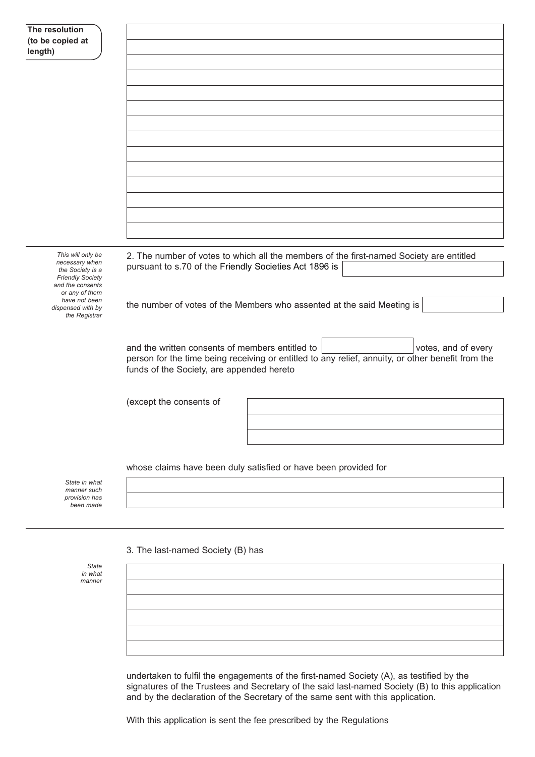| The resolution                              |                                                                                                   |
|---------------------------------------------|---------------------------------------------------------------------------------------------------|
| (to be copied at<br>length)                 |                                                                                                   |
|                                             |                                                                                                   |
|                                             |                                                                                                   |
|                                             |                                                                                                   |
|                                             |                                                                                                   |
|                                             |                                                                                                   |
|                                             |                                                                                                   |
|                                             |                                                                                                   |
|                                             |                                                                                                   |
|                                             |                                                                                                   |
|                                             |                                                                                                   |
|                                             |                                                                                                   |
|                                             |                                                                                                   |
|                                             |                                                                                                   |
|                                             |                                                                                                   |
| This will only be<br>necessary when         | 2. The number of votes to which all the members of the first-named Society are entitled           |
| the Society is a<br><b>Friendly Society</b> | pursuant to s.70 of the Friendly Societies Act 1896 is                                            |
| and the consents<br>or any of them          |                                                                                                   |
| have not been<br>dispensed with by          | the number of votes of the Members who assented at the said Meeting is                            |
| the Registrar                               |                                                                                                   |
|                                             |                                                                                                   |
|                                             | and the written consents of members entitled to<br>votes, and of every                            |
|                                             | person for the time being receiving or entitled to any relief, annuity, or other benefit from the |
|                                             | funds of the Society, are appended hereto                                                         |
|                                             |                                                                                                   |
|                                             | (except the consents of                                                                           |
|                                             |                                                                                                   |
|                                             |                                                                                                   |
|                                             |                                                                                                   |
|                                             |                                                                                                   |
|                                             | whose claims have been duly satisfied or have been provided for                                   |
| State in what<br>manner such                |                                                                                                   |
| provision has<br>been made                  |                                                                                                   |
|                                             |                                                                                                   |
|                                             |                                                                                                   |
|                                             | 3. The last-named Society (B) has                                                                 |
| <b>State</b>                                |                                                                                                   |

*in what manner*

> undertaken to fulfil the engagements of the first-named Society (A), as testified by the signatures of the Trustees and Secretary of the said last-named Society (B) to this application and by the declaration of the Secretary of the same sent with this application.

With this application is sent the fee prescribed by the Regulations